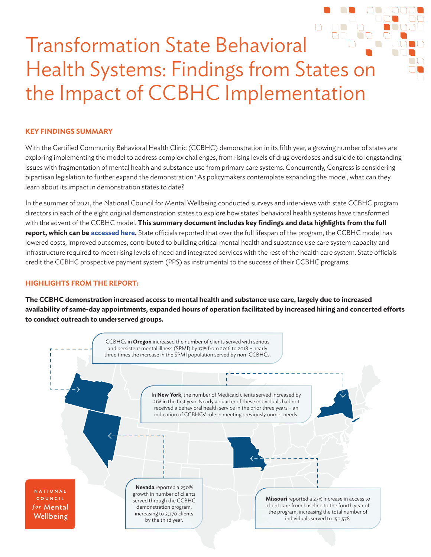# Transformation State Behavioral Health Systems: Findings from States on the Impact of CCBHC Implementation

## **KEY FINDINGS SUMMARY**

With the Certified Community Behavioral Health Clinic (CCBHC) demonstration in its fifth year, a growing number of states are exploring implementing the model to address complex challenges, from rising levels of drug overdoses and suicide to longstanding issues with fragmentation of mental health and substance use from primary care systems. Concurrently, Congress is considering bipartisan legislation to further expand the demonstration.' As policymakers contemplate expanding the model, what can they learn about its impact in demonstration states to date?

In the summer of 2021, the National Council for Mental Wellbeing conducted surveys and interviews with state CCBHC program directors in each of the eight original demonstration states to explore how states' behavioral health systems have transformed with the advent of the CCBHC model. **This summary document includes key findings and data highlights from the full report, which can be [accessed here.](https://www.thenationalcouncil.org/wp-content/uploads/2021/10/21.10.04_CCBHC-State-Impact-Report.pdf)** State officials reported that over the full lifespan of the program, the CCBHC model has lowered costs, improved outcomes, contributed to building critical mental health and substance use care system capacity and infrastructure required to meet rising levels of need and integrated services with the rest of the health care system. State officials credit the CCBHC prospective payment system (PPS) as instrumental to the success of their CCBHC programs.

### **HIGHLIGHTS FROM THE REPORT:**

**The CCBHC demonstration increased access to mental health and substance use care, largely due to increased availability of same-day appointments, expanded hours of operation facilitated by increased hiring and concerted efforts to conduct outreach to underserved groups.** 

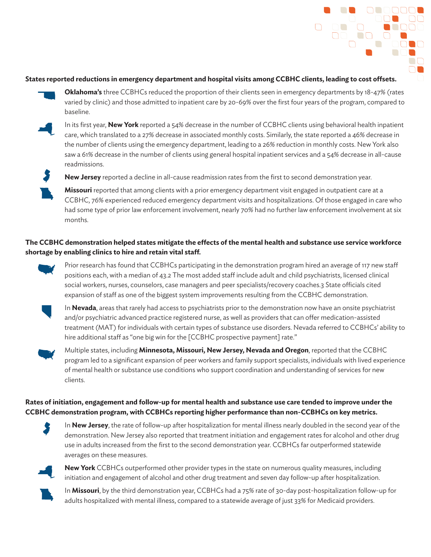

#### **States reported reductions in emergency department and hospital visits among CCBHC clients, leading to cost offsets.**

**Oklahoma's** three CCBHCs reduced the proportion of their clients seen in emergency departments by 18-47% (rates varied by clinic) and those admitted to inpatient care by 20-69% over the first four years of the program, compared to baseline.



In its first year, **New York** reported a 54% decrease in the number of CCBHC clients using behavioral health inpatient care, which translated to a 27% decrease in associated monthly costs. Similarly, the state reported a 46% decrease in the number of clients using the emergency department, leading to a 26% reduction in monthly costs. New York also saw a 61% decrease in the number of clients using general hospital inpatient services and a 54% decrease in all-cause readmissions.



**New Jersey** reported a decline in all-cause readmission rates from the first to second demonstration year.

**Missouri** reported that among clients with a prior emergency department visit engaged in outpatient care at a CCBHC, 76% experienced reduced emergency department visits and hospitalizations. Of those engaged in care who had some type of prior law enforcement involvement, nearly 70% had no further law enforcement involvement at six months.

# **The CCBHC demonstration helped states mitigate the effects of the mental health and substance use service workforce shortage by enabling clinics to hire and retain vital staff.**



Prior research has found that CCBHCs participating in the demonstration program hired an average of 117 new staff positions each, with a median of 43.2 The most added staff include adult and child psychiatrists, licensed clinical social workers, nurses, counselors, case managers and peer specialists/recovery coaches.3 State officials cited expansion of staff as one of the biggest system improvements resulting from the CCBHC demonstration.



In **Nevada**, areas that rarely had access to psychiatrists prior to the demonstration now have an onsite psychiatrist and/or psychiatric advanced practice registered nurse, as well as providers that can offer medication-assisted treatment (MAT) for individuals with certain types of substance use disorders. Nevada referred to CCBHCs' ability to hire additional staff as "one big win for the [CCBHC prospective payment] rate."



Multiple states, including **Minnesota, Missouri, New Jersey, Nevada and Oregon**, reported that the CCBHC program led to a significant expansion of peer workers and family support specialists, individuals with lived experience of mental health or substance use conditions who support coordination and understanding of services for new clients.

# **Rates of initiation, engagement and follow-up for mental health and substance use care tended to improve under the CCBHC demonstration program, with CCBHCs reporting higher performance than non-CCBHCs on key metrics.**



In **New Jersey**, the rate of follow-up after hospitalization for mental illness nearly doubled in the second year of the demonstration. New Jersey also reported that treatment initiation and engagement rates for alcohol and other drug use in adults increased from the first to the second demonstration year. CCBHCs far outperformed statewide averages on these measures.



**New York** CCBHCs outperformed other provider types in the state on numerous quality measures, including initiation and engagement of alcohol and other drug treatment and seven day follow-up after hospitalization.



In **Missouri**, by the third demonstration year, CCBHCs had a 75% rate of 30-day post-hospitalization follow-up for adults hospitalized with mental illness, compared to a statewide average of just 33% for Medicaid providers.